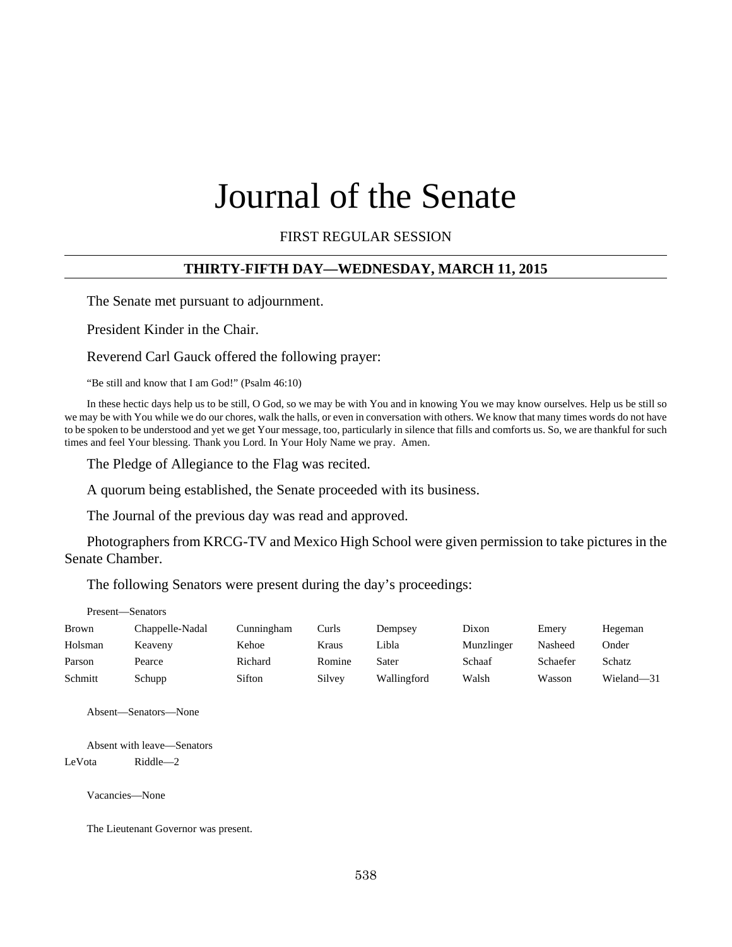# Journal of the Senate

## FIRST REGULAR SESSION

#### **THIRTY-FIFTH DAY—WEDNESDAY, MARCH 11, 2015**

The Senate met pursuant to adjournment.

President Kinder in the Chair.

Reverend Carl Gauck offered the following prayer:

"Be still and know that I am God!" (Psalm 46:10)

In these hectic days help us to be still, O God, so we may be with You and in knowing You we may know ourselves. Help us be still so we may be with You while we do our chores, walk the halls, or even in conversation with others. We know that many times words do not have to be spoken to be understood and yet we get Your message, too, particularly in silence that fills and comforts us. So, we are thankful for such times and feel Your blessing. Thank you Lord. In Your Holy Name we pray. Amen.

The Pledge of Allegiance to the Flag was recited.

A quorum being established, the Senate proceeded with its business.

The Journal of the previous day was read and approved.

Photographers from KRCG-TV and Mexico High School were given permission to take pictures in the Senate Chamber.

The following Senators were present during the day's proceedings:

#### Present—Senators

| Brown   | Chappelle-Nadal | Cunningham | Curls  | Dempsey     | Dixon      | Emery    | Hegeman    |
|---------|-----------------|------------|--------|-------------|------------|----------|------------|
| Holsman | Keaveny         | Kehoe      | Kraus  | Libla       | Munzlinger | Nasheed  | Onder      |
| Parson  | Pearce          | Richard    | Romine | Sater       | Schaaf     | Schaefer | Schatz     |
| Schmitt | Schupp          | Sifton     | Silvey | Wallingford | Walsh      | Wasson   | Wieland-31 |

Absent—Senators—None

Absent with leave—Senators

LeVota Riddle—2

Vacancies—None

The Lieutenant Governor was present.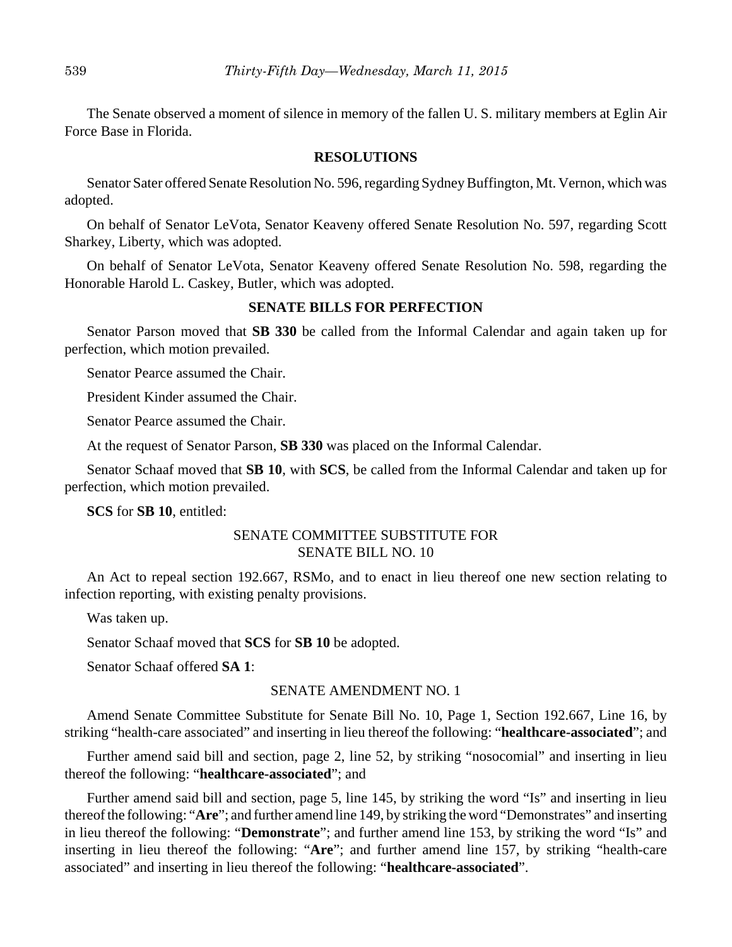The Senate observed a moment of silence in memory of the fallen U. S. military members at Eglin Air Force Base in Florida.

#### **RESOLUTIONS**

Senator Sater offered Senate Resolution No. 596, regarding Sydney Buffington, Mt. Vernon, which was adopted.

On behalf of Senator LeVota, Senator Keaveny offered Senate Resolution No. 597, regarding Scott Sharkey, Liberty, which was adopted.

On behalf of Senator LeVota, Senator Keaveny offered Senate Resolution No. 598, regarding the Honorable Harold L. Caskey, Butler, which was adopted.

#### **SENATE BILLS FOR PERFECTION**

Senator Parson moved that **SB 330** be called from the Informal Calendar and again taken up for perfection, which motion prevailed.

Senator Pearce assumed the Chair.

President Kinder assumed the Chair.

Senator Pearce assumed the Chair.

At the request of Senator Parson, **SB 330** was placed on the Informal Calendar.

Senator Schaaf moved that **SB 10**, with **SCS**, be called from the Informal Calendar and taken up for perfection, which motion prevailed.

**SCS** for **SB 10**, entitled:

## SENATE COMMITTEE SUBSTITUTE FOR SENATE BILL NO. 10

An Act to repeal section 192.667, RSMo, and to enact in lieu thereof one new section relating to infection reporting, with existing penalty provisions.

Was taken up.

Senator Schaaf moved that **SCS** for **SB 10** be adopted.

Senator Schaaf offered **SA 1**:

#### SENATE AMENDMENT NO. 1

Amend Senate Committee Substitute for Senate Bill No. 10, Page 1, Section 192.667, Line 16, by striking "health-care associated" and inserting in lieu thereof the following: "**healthcare-associated**"; and

Further amend said bill and section, page 2, line 52, by striking "nosocomial" and inserting in lieu thereof the following: "**healthcare-associated**"; and

Further amend said bill and section, page 5, line 145, by striking the word "Is" and inserting in lieu thereof the following: "**Are**"; and further amend line 149, by striking the word "Demonstrates" and inserting in lieu thereof the following: "**Demonstrate**"; and further amend line 153, by striking the word "Is" and inserting in lieu thereof the following: "**Are**"; and further amend line 157, by striking "health-care associated" and inserting in lieu thereof the following: "**healthcare-associated**".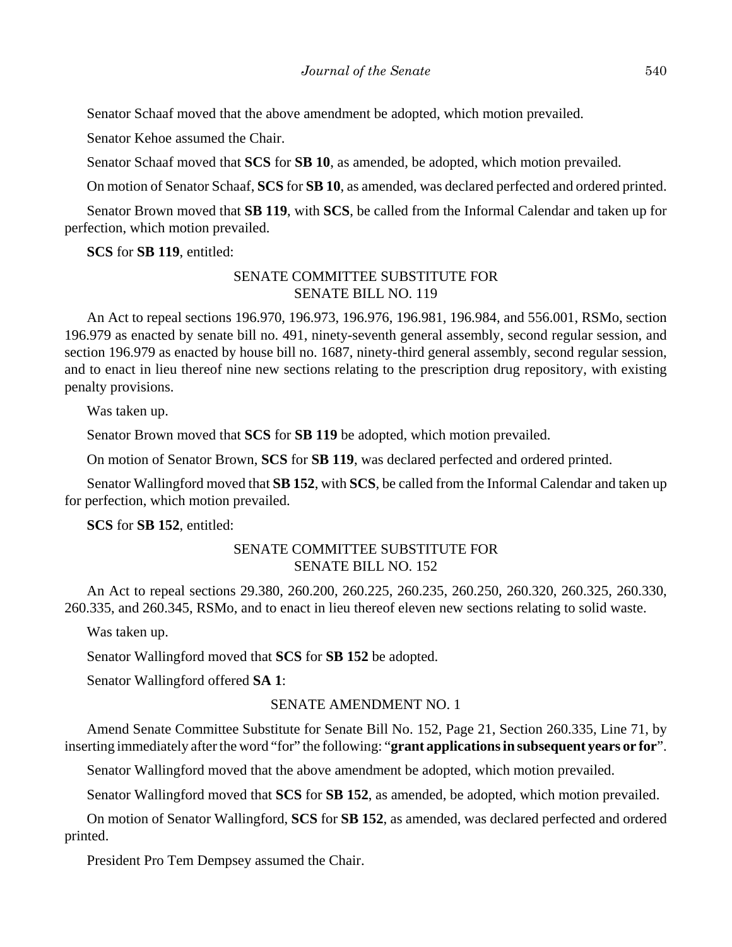Senator Schaaf moved that the above amendment be adopted, which motion prevailed.

Senator Kehoe assumed the Chair.

Senator Schaaf moved that **SCS** for **SB 10**, as amended, be adopted, which motion prevailed.

On motion of Senator Schaaf, **SCS** for **SB 10**, as amended, was declared perfected and ordered printed.

Senator Brown moved that **SB 119**, with **SCS**, be called from the Informal Calendar and taken up for perfection, which motion prevailed.

**SCS** for **SB 119**, entitled:

## SENATE COMMITTEE SUBSTITUTE FOR SENATE BILL NO. 119

An Act to repeal sections 196.970, 196.973, 196.976, 196.981, 196.984, and 556.001, RSMo, section 196.979 as enacted by senate bill no. 491, ninety-seventh general assembly, second regular session, and section 196.979 as enacted by house bill no. 1687, ninety-third general assembly, second regular session, and to enact in lieu thereof nine new sections relating to the prescription drug repository, with existing penalty provisions.

Was taken up.

Senator Brown moved that **SCS** for **SB 119** be adopted, which motion prevailed.

On motion of Senator Brown, **SCS** for **SB 119**, was declared perfected and ordered printed.

Senator Wallingford moved that **SB 152**, with **SCS**, be called from the Informal Calendar and taken up for perfection, which motion prevailed.

**SCS** for **SB 152**, entitled:

## SENATE COMMITTEE SUBSTITUTE FOR SENATE BILL NO. 152

An Act to repeal sections 29.380, 260.200, 260.225, 260.235, 260.250, 260.320, 260.325, 260.330, 260.335, and 260.345, RSMo, and to enact in lieu thereof eleven new sections relating to solid waste.

Was taken up.

Senator Wallingford moved that **SCS** for **SB 152** be adopted.

Senator Wallingford offered **SA 1**:

#### SENATE AMENDMENT NO. 1

Amend Senate Committee Substitute for Senate Bill No. 152, Page 21, Section 260.335, Line 71, by inserting immediately after the word "for" the following: "**grant applications in subsequent years or for**".

Senator Wallingford moved that the above amendment be adopted, which motion prevailed.

Senator Wallingford moved that **SCS** for **SB 152**, as amended, be adopted, which motion prevailed.

On motion of Senator Wallingford, **SCS** for **SB 152**, as amended, was declared perfected and ordered printed.

President Pro Tem Dempsey assumed the Chair.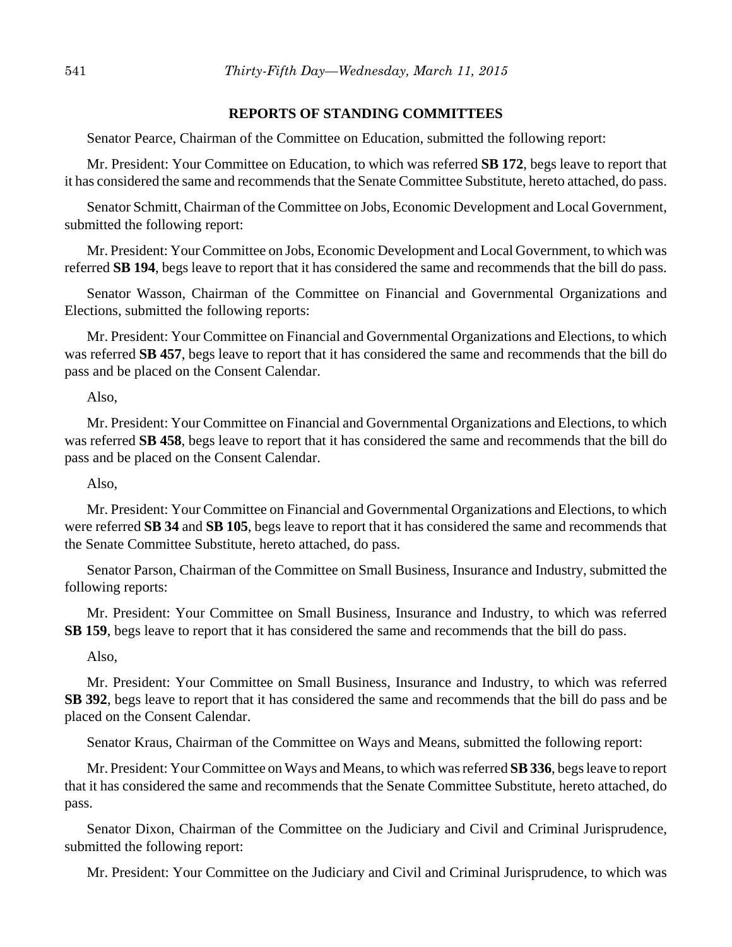## **REPORTS OF STANDING COMMITTEES**

Senator Pearce, Chairman of the Committee on Education, submitted the following report:

Mr. President: Your Committee on Education, to which was referred **SB 172**, begs leave to report that it has considered the same and recommends that the Senate Committee Substitute, hereto attached, do pass.

Senator Schmitt, Chairman of the Committee on Jobs, Economic Development and Local Government, submitted the following report:

Mr. President: Your Committee on Jobs, Economic Development and Local Government, to which was referred **SB 194**, begs leave to report that it has considered the same and recommends that the bill do pass.

Senator Wasson, Chairman of the Committee on Financial and Governmental Organizations and Elections, submitted the following reports:

Mr. President: Your Committee on Financial and Governmental Organizations and Elections, to which was referred **SB 457**, begs leave to report that it has considered the same and recommends that the bill do pass and be placed on the Consent Calendar.

#### Also,

Mr. President: Your Committee on Financial and Governmental Organizations and Elections, to which was referred **SB 458**, begs leave to report that it has considered the same and recommends that the bill do pass and be placed on the Consent Calendar.

Also,

Mr. President: Your Committee on Financial and Governmental Organizations and Elections, to which were referred **SB 34** and **SB 105**, begs leave to report that it has considered the same and recommends that the Senate Committee Substitute, hereto attached, do pass.

Senator Parson, Chairman of the Committee on Small Business, Insurance and Industry, submitted the following reports:

Mr. President: Your Committee on Small Business, Insurance and Industry, to which was referred **SB 159**, begs leave to report that it has considered the same and recommends that the bill do pass.

#### Also,

Mr. President: Your Committee on Small Business, Insurance and Industry, to which was referred **SB 392**, begs leave to report that it has considered the same and recommends that the bill do pass and be placed on the Consent Calendar.

Senator Kraus, Chairman of the Committee on Ways and Means, submitted the following report:

Mr. President: Your Committee on Ways and Means, to which was referred **SB 336**, begs leave to report that it has considered the same and recommends that the Senate Committee Substitute, hereto attached, do pass.

Senator Dixon, Chairman of the Committee on the Judiciary and Civil and Criminal Jurisprudence, submitted the following report:

Mr. President: Your Committee on the Judiciary and Civil and Criminal Jurisprudence, to which was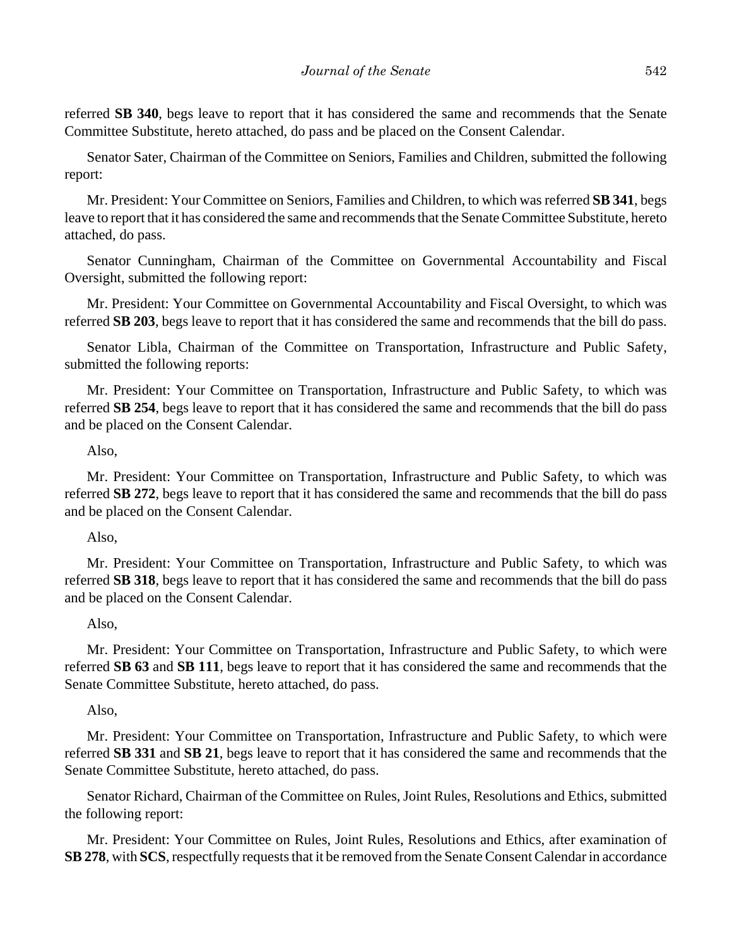referred **SB 340**, begs leave to report that it has considered the same and recommends that the Senate Committee Substitute, hereto attached, do pass and be placed on the Consent Calendar.

Senator Sater, Chairman of the Committee on Seniors, Families and Children, submitted the following report:

Mr. President: Your Committee on Seniors, Families and Children, to which was referred **SB 341**, begs leave to report that it has considered the same and recommends that the Senate Committee Substitute, hereto attached, do pass.

Senator Cunningham, Chairman of the Committee on Governmental Accountability and Fiscal Oversight, submitted the following report:

Mr. President: Your Committee on Governmental Accountability and Fiscal Oversight, to which was referred **SB 203**, begs leave to report that it has considered the same and recommends that the bill do pass.

Senator Libla, Chairman of the Committee on Transportation, Infrastructure and Public Safety, submitted the following reports:

Mr. President: Your Committee on Transportation, Infrastructure and Public Safety, to which was referred **SB 254**, begs leave to report that it has considered the same and recommends that the bill do pass and be placed on the Consent Calendar.

### Also,

Mr. President: Your Committee on Transportation, Infrastructure and Public Safety, to which was referred **SB 272**, begs leave to report that it has considered the same and recommends that the bill do pass and be placed on the Consent Calendar.

#### Also,

Mr. President: Your Committee on Transportation, Infrastructure and Public Safety, to which was referred **SB 318**, begs leave to report that it has considered the same and recommends that the bill do pass and be placed on the Consent Calendar.

#### Also,

Mr. President: Your Committee on Transportation, Infrastructure and Public Safety, to which were referred **SB 63** and **SB 111**, begs leave to report that it has considered the same and recommends that the Senate Committee Substitute, hereto attached, do pass.

#### Also,

Mr. President: Your Committee on Transportation, Infrastructure and Public Safety, to which were referred **SB 331** and **SB 21**, begs leave to report that it has considered the same and recommends that the Senate Committee Substitute, hereto attached, do pass.

Senator Richard, Chairman of the Committee on Rules, Joint Rules, Resolutions and Ethics, submitted the following report:

Mr. President: Your Committee on Rules, Joint Rules, Resolutions and Ethics, after examination of **SB 278**, with **SCS**, respectfully requests that it be removed from the Senate Consent Calendar in accordance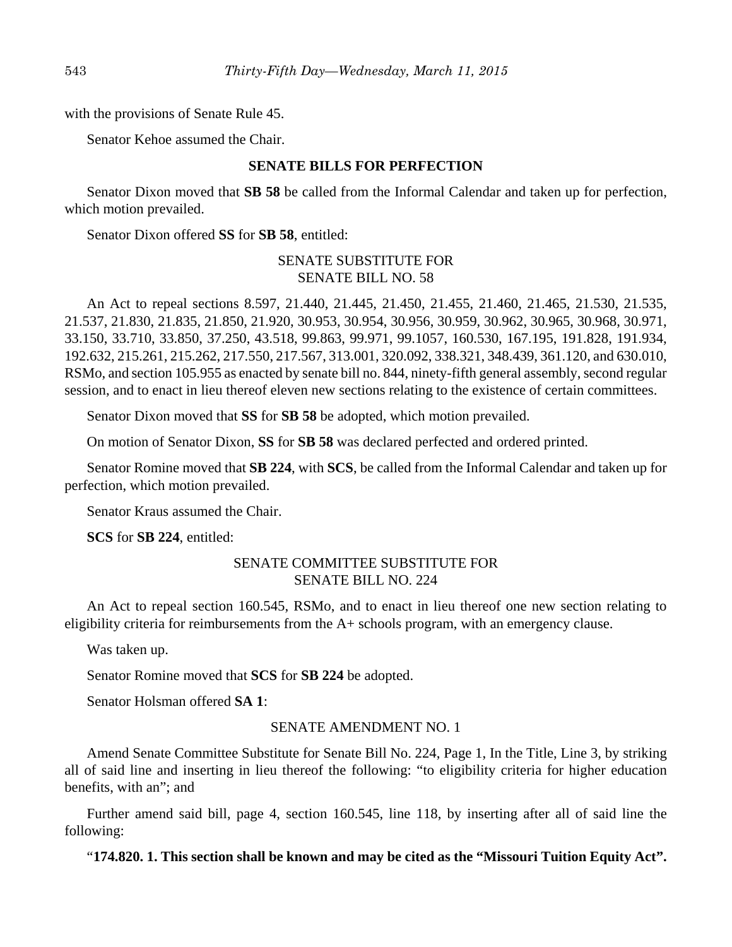with the provisions of Senate Rule 45.

Senator Kehoe assumed the Chair.

## **SENATE BILLS FOR PERFECTION**

Senator Dixon moved that **SB 58** be called from the Informal Calendar and taken up for perfection, which motion prevailed.

Senator Dixon offered **SS** for **SB 58**, entitled:

## SENATE SUBSTITUTE FOR SENATE BILL NO. 58

An Act to repeal sections 8.597, 21.440, 21.445, 21.450, 21.455, 21.460, 21.465, 21.530, 21.535, 21.537, 21.830, 21.835, 21.850, 21.920, 30.953, 30.954, 30.956, 30.959, 30.962, 30.965, 30.968, 30.971, 33.150, 33.710, 33.850, 37.250, 43.518, 99.863, 99.971, 99.1057, 160.530, 167.195, 191.828, 191.934, 192.632, 215.261, 215.262, 217.550, 217.567, 313.001, 320.092, 338.321, 348.439, 361.120, and 630.010, RSMo, and section 105.955 as enacted by senate bill no. 844, ninety-fifth general assembly, second regular session, and to enact in lieu thereof eleven new sections relating to the existence of certain committees.

Senator Dixon moved that **SS** for **SB 58** be adopted, which motion prevailed.

On motion of Senator Dixon, **SS** for **SB 58** was declared perfected and ordered printed.

Senator Romine moved that **SB 224**, with **SCS**, be called from the Informal Calendar and taken up for perfection, which motion prevailed.

Senator Kraus assumed the Chair.

**SCS** for **SB 224**, entitled:

## SENATE COMMITTEE SUBSTITUTE FOR SENATE BILL NO. 224

An Act to repeal section 160.545, RSMo, and to enact in lieu thereof one new section relating to eligibility criteria for reimbursements from the A+ schools program, with an emergency clause.

Was taken up.

Senator Romine moved that **SCS** for **SB 224** be adopted.

Senator Holsman offered **SA 1**:

#### SENATE AMENDMENT NO. 1

Amend Senate Committee Substitute for Senate Bill No. 224, Page 1, In the Title, Line 3, by striking all of said line and inserting in lieu thereof the following: "to eligibility criteria for higher education benefits, with an"; and

Further amend said bill, page 4, section 160.545, line 118, by inserting after all of said line the following:

"**174.820. 1. This section shall be known and may be cited as the "Missouri Tuition Equity Act".**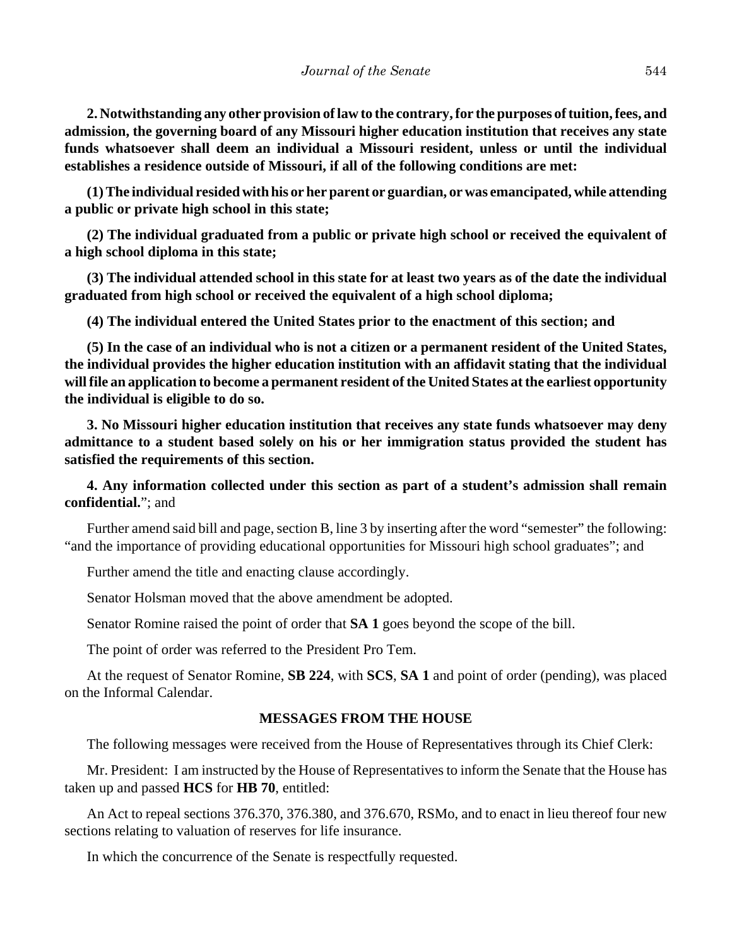**2. Notwithstanding any other provision of law to the contrary, for the purposes of tuition, fees, and admission, the governing board of any Missouri higher education institution that receives any state funds whatsoever shall deem an individual a Missouri resident, unless or until the individual establishes a residence outside of Missouri, if all of the following conditions are met:**

**(1) The individual resided with his or her parent or guardian, or was emancipated, while attending a public or private high school in this state;**

**(2) The individual graduated from a public or private high school or received the equivalent of a high school diploma in this state;**

**(3) The individual attended school in this state for at least two years as of the date the individual graduated from high school or received the equivalent of a high school diploma;**

**(4) The individual entered the United States prior to the enactment of this section; and**

**(5) In the case of an individual who is not a citizen or a permanent resident of the United States, the individual provides the higher education institution with an affidavit stating that the individual will file an application to become a permanent resident of the United States at the earliest opportunity the individual is eligible to do so.**

**3. No Missouri higher education institution that receives any state funds whatsoever may deny admittance to a student based solely on his or her immigration status provided the student has satisfied the requirements of this section.**

**4. Any information collected under this section as part of a student's admission shall remain confidential.**"; and

Further amend said bill and page, section B, line 3 by inserting after the word "semester" the following: "and the importance of providing educational opportunities for Missouri high school graduates"; and

Further amend the title and enacting clause accordingly.

Senator Holsman moved that the above amendment be adopted.

Senator Romine raised the point of order that **SA 1** goes beyond the scope of the bill.

The point of order was referred to the President Pro Tem.

At the request of Senator Romine, **SB 224**, with **SCS**, **SA 1** and point of order (pending), was placed on the Informal Calendar.

## **MESSAGES FROM THE HOUSE**

The following messages were received from the House of Representatives through its Chief Clerk:

Mr. President: I am instructed by the House of Representatives to inform the Senate that the House has taken up and passed **HCS** for **HB 70**, entitled:

An Act to repeal sections 376.370, 376.380, and 376.670, RSMo, and to enact in lieu thereof four new sections relating to valuation of reserves for life insurance.

In which the concurrence of the Senate is respectfully requested.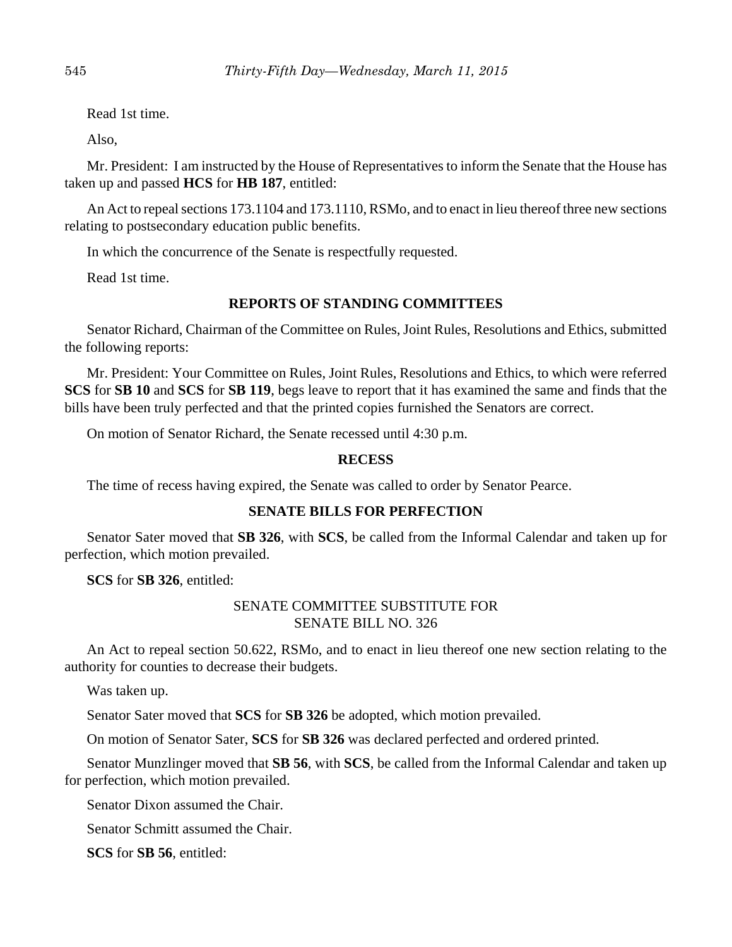Read 1st time.

Also,

Mr. President: I am instructed by the House of Representatives to inform the Senate that the House has taken up and passed **HCS** for **HB 187**, entitled:

An Act to repeal sections 173.1104 and 173.1110, RSMo, and to enact in lieu thereof three new sections relating to postsecondary education public benefits.

In which the concurrence of the Senate is respectfully requested.

Read 1st time.

### **REPORTS OF STANDING COMMITTEES**

Senator Richard, Chairman of the Committee on Rules, Joint Rules, Resolutions and Ethics, submitted the following reports:

Mr. President: Your Committee on Rules, Joint Rules, Resolutions and Ethics, to which were referred **SCS** for **SB 10** and **SCS** for **SB 119**, begs leave to report that it has examined the same and finds that the bills have been truly perfected and that the printed copies furnished the Senators are correct.

On motion of Senator Richard, the Senate recessed until 4:30 p.m.

### **RECESS**

The time of recess having expired, the Senate was called to order by Senator Pearce.

#### **SENATE BILLS FOR PERFECTION**

Senator Sater moved that **SB 326**, with **SCS**, be called from the Informal Calendar and taken up for perfection, which motion prevailed.

**SCS** for **SB 326**, entitled:

## SENATE COMMITTEE SUBSTITUTE FOR SENATE BILL NO. 326

An Act to repeal section 50.622, RSMo, and to enact in lieu thereof one new section relating to the authority for counties to decrease their budgets.

Was taken up.

Senator Sater moved that **SCS** for **SB 326** be adopted, which motion prevailed.

On motion of Senator Sater, **SCS** for **SB 326** was declared perfected and ordered printed.

Senator Munzlinger moved that **SB 56**, with **SCS**, be called from the Informal Calendar and taken up for perfection, which motion prevailed.

Senator Dixon assumed the Chair.

Senator Schmitt assumed the Chair.

**SCS** for **SB 56**, entitled: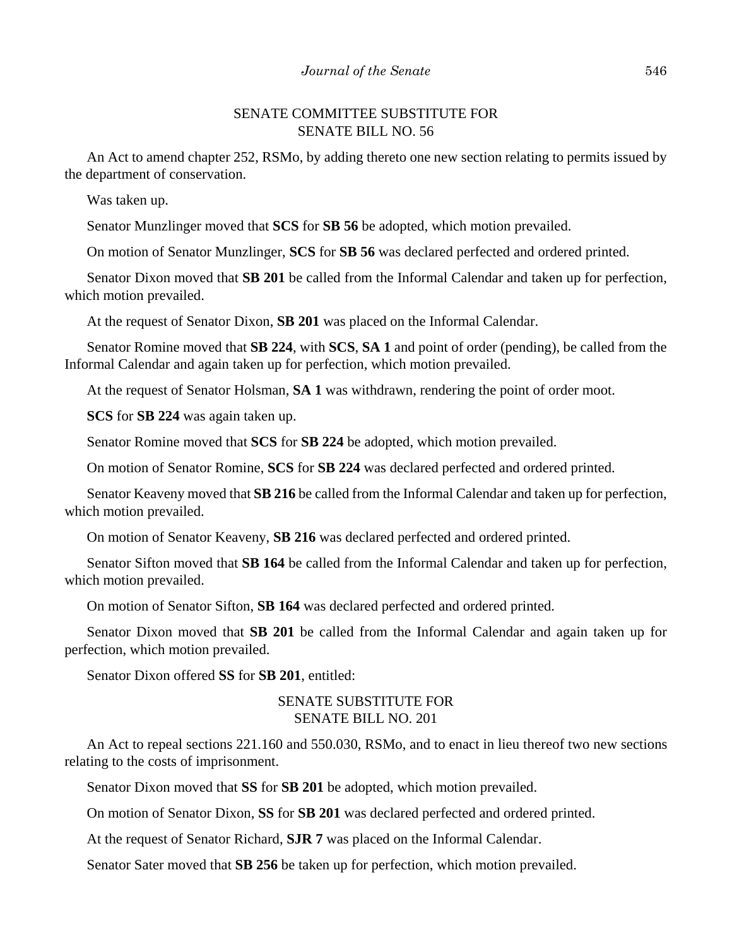## SENATE COMMITTEE SUBSTITUTE FOR SENATE BILL NO. 56

An Act to amend chapter 252, RSMo, by adding thereto one new section relating to permits issued by the department of conservation.

Was taken up.

Senator Munzlinger moved that **SCS** for **SB 56** be adopted, which motion prevailed.

On motion of Senator Munzlinger, **SCS** for **SB 56** was declared perfected and ordered printed.

Senator Dixon moved that **SB 201** be called from the Informal Calendar and taken up for perfection, which motion prevailed.

At the request of Senator Dixon, **SB 201** was placed on the Informal Calendar.

Senator Romine moved that **SB 224**, with **SCS**, **SA 1** and point of order (pending), be called from the Informal Calendar and again taken up for perfection, which motion prevailed.

At the request of Senator Holsman, **SA 1** was withdrawn, rendering the point of order moot.

**SCS** for **SB 224** was again taken up.

Senator Romine moved that **SCS** for **SB 224** be adopted, which motion prevailed.

On motion of Senator Romine, **SCS** for **SB 224** was declared perfected and ordered printed.

Senator Keaveny moved that **SB 216** be called from the Informal Calendar and taken up for perfection, which motion prevailed.

On motion of Senator Keaveny, **SB 216** was declared perfected and ordered printed.

Senator Sifton moved that **SB 164** be called from the Informal Calendar and taken up for perfection, which motion prevailed.

On motion of Senator Sifton, **SB 164** was declared perfected and ordered printed.

Senator Dixon moved that **SB 201** be called from the Informal Calendar and again taken up for perfection, which motion prevailed.

Senator Dixon offered **SS** for **SB 201**, entitled:

### SENATE SUBSTITUTE FOR SENATE BILL NO. 201

An Act to repeal sections 221.160 and 550.030, RSMo, and to enact in lieu thereof two new sections relating to the costs of imprisonment.

Senator Dixon moved that **SS** for **SB 201** be adopted, which motion prevailed.

On motion of Senator Dixon, **SS** for **SB 201** was declared perfected and ordered printed.

At the request of Senator Richard, **SJR 7** was placed on the Informal Calendar.

Senator Sater moved that **SB 256** be taken up for perfection, which motion prevailed.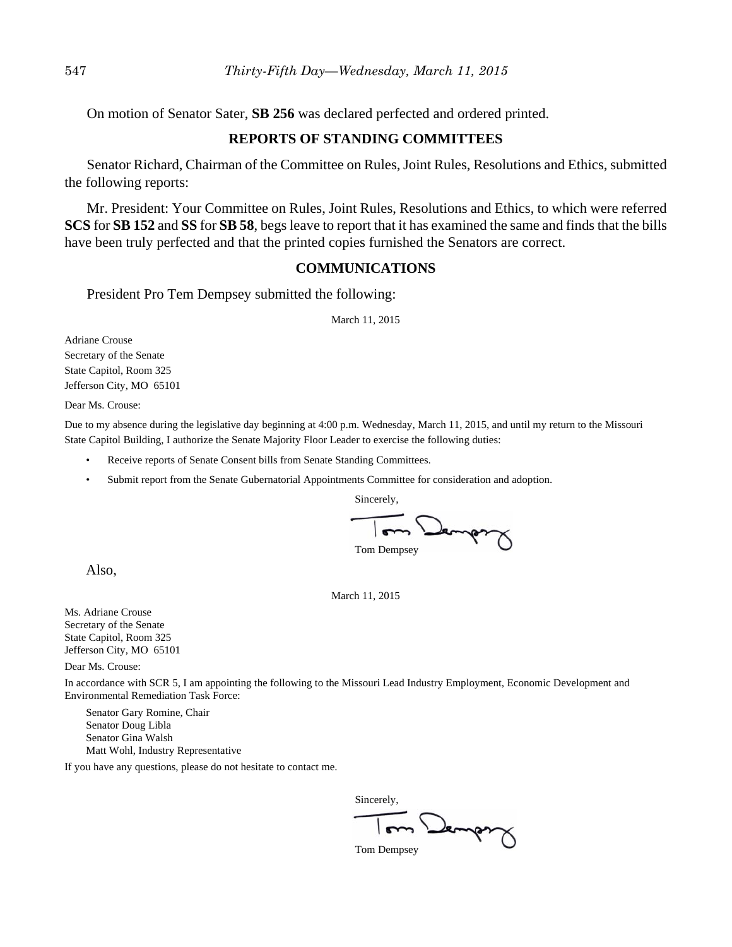On motion of Senator Sater, **SB 256** was declared perfected and ordered printed.

## **REPORTS OF STANDING COMMITTEES**

Senator Richard, Chairman of the Committee on Rules, Joint Rules, Resolutions and Ethics, submitted the following reports:

Mr. President: Your Committee on Rules, Joint Rules, Resolutions and Ethics, to which were referred **SCS** for **SB 152** and **SS** for **SB 58**, begs leave to report that it has examined the same and finds that the bills have been truly perfected and that the printed copies furnished the Senators are correct.

#### **COMMUNICATIONS**

President Pro Tem Dempsey submitted the following:

March 11, 2015

Adriane Crouse Secretary of the Senate State Capitol, Room 325 Jefferson City, MO 65101

Dear Ms. Crouse:

Due to my absence during the legislative day beginning at 4:00 p.m. Wednesday, March 11, 2015, and until my return to the Missouri State Capitol Building, I authorize the Senate Majority Floor Leader to exercise the following duties:

- Receive reports of Senate Consent bills from Senate Standing Committees.
- Submit report from the Senate Gubernatorial Appointments Committee for consideration and adoption.

Sincerely, Jempor Tom Dempsey

Also,

March 11, 2015

Ms. Adriane Crouse Secretary of the Senate State Capitol, Room 325 Jefferson City, MO 65101

Dear Ms. Crouse:

In accordance with SCR 5, I am appointing the following to the Missouri Lead Industry Employment, Economic Development and Environmental Remediation Task Force:

Senator Gary Romine, Chair Senator Doug Libla Senator Gina Walsh Matt Wohl, Industry Representative

If you have any questions, please do not hesitate to contact me.

Sincerely, Demport

Tom Dempsey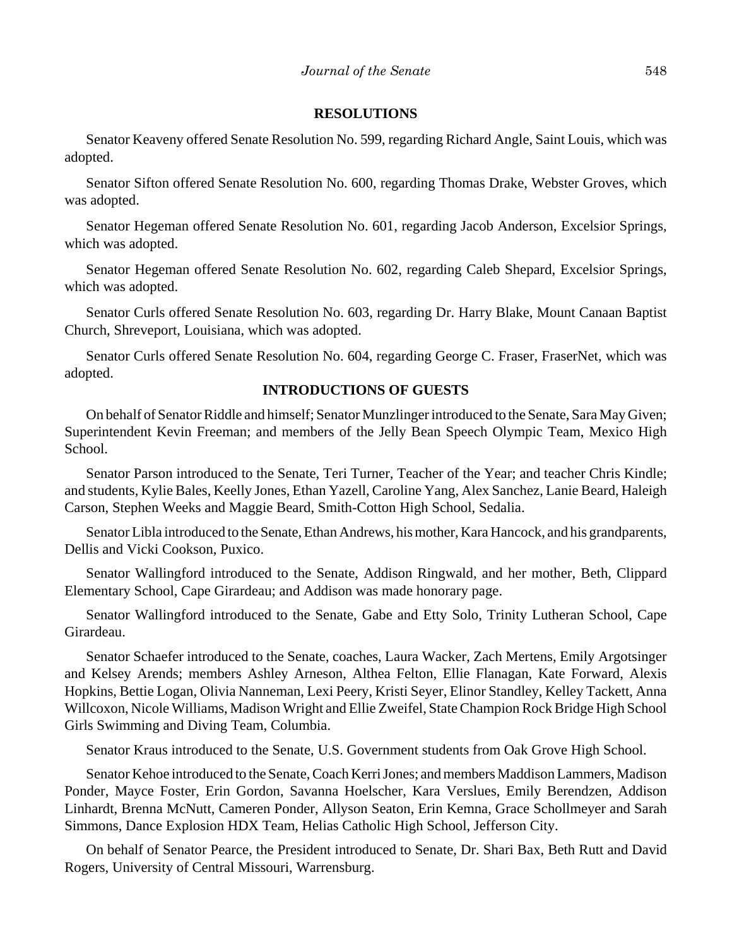#### **RESOLUTIONS**

Senator Keaveny offered Senate Resolution No. 599, regarding Richard Angle, Saint Louis, which was adopted.

Senator Sifton offered Senate Resolution No. 600, regarding Thomas Drake, Webster Groves, which was adopted.

Senator Hegeman offered Senate Resolution No. 601, regarding Jacob Anderson, Excelsior Springs, which was adopted.

Senator Hegeman offered Senate Resolution No. 602, regarding Caleb Shepard, Excelsior Springs, which was adopted.

Senator Curls offered Senate Resolution No. 603, regarding Dr. Harry Blake, Mount Canaan Baptist Church, Shreveport, Louisiana, which was adopted.

Senator Curls offered Senate Resolution No. 604, regarding George C. Fraser, FraserNet, which was adopted.

## **INTRODUCTIONS OF GUESTS**

On behalf of Senator Riddle and himself; Senator Munzlinger introduced to the Senate, Sara May Given; Superintendent Kevin Freeman; and members of the Jelly Bean Speech Olympic Team, Mexico High School.

Senator Parson introduced to the Senate, Teri Turner, Teacher of the Year; and teacher Chris Kindle; and students, Kylie Bales, Keelly Jones, Ethan Yazell, Caroline Yang, Alex Sanchez, Lanie Beard, Haleigh Carson, Stephen Weeks and Maggie Beard, Smith-Cotton High School, Sedalia.

Senator Libla introduced to the Senate, Ethan Andrews, his mother, Kara Hancock, and his grandparents, Dellis and Vicki Cookson, Puxico.

Senator Wallingford introduced to the Senate, Addison Ringwald, and her mother, Beth, Clippard Elementary School, Cape Girardeau; and Addison was made honorary page.

Senator Wallingford introduced to the Senate, Gabe and Etty Solo, Trinity Lutheran School, Cape Girardeau.

Senator Schaefer introduced to the Senate, coaches, Laura Wacker, Zach Mertens, Emily Argotsinger and Kelsey Arends; members Ashley Arneson, Althea Felton, Ellie Flanagan, Kate Forward, Alexis Hopkins, Bettie Logan, Olivia Nanneman, Lexi Peery, Kristi Seyer, Elinor Standley, Kelley Tackett, Anna Willcoxon, Nicole Williams, Madison Wright and Ellie Zweifel, State Champion Rock Bridge High School Girls Swimming and Diving Team, Columbia.

Senator Kraus introduced to the Senate, U.S. Government students from Oak Grove High School.

Senator Kehoe introduced to the Senate, Coach Kerri Jones; and members Maddison Lammers, Madison Ponder, Mayce Foster, Erin Gordon, Savanna Hoelscher, Kara Verslues, Emily Berendzen, Addison Linhardt, Brenna McNutt, Cameren Ponder, Allyson Seaton, Erin Kemna, Grace Schollmeyer and Sarah Simmons, Dance Explosion HDX Team, Helias Catholic High School, Jefferson City.

On behalf of Senator Pearce, the President introduced to Senate, Dr. Shari Bax, Beth Rutt and David Rogers, University of Central Missouri, Warrensburg.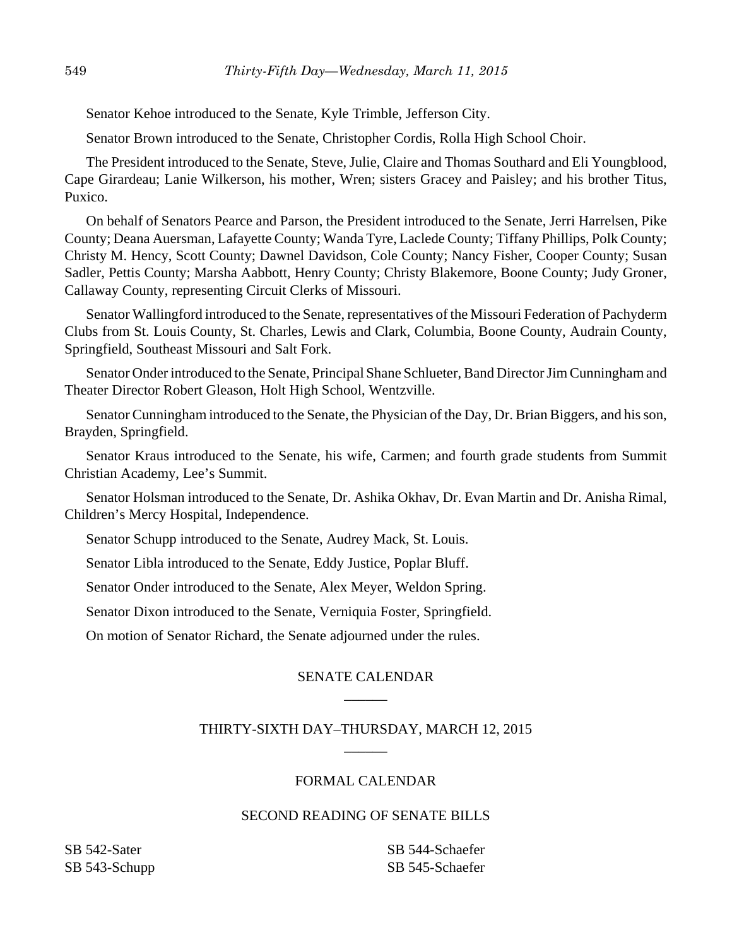Senator Kehoe introduced to the Senate, Kyle Trimble, Jefferson City.

Senator Brown introduced to the Senate, Christopher Cordis, Rolla High School Choir.

The President introduced to the Senate, Steve, Julie, Claire and Thomas Southard and Eli Youngblood, Cape Girardeau; Lanie Wilkerson, his mother, Wren; sisters Gracey and Paisley; and his brother Titus, Puxico.

On behalf of Senators Pearce and Parson, the President introduced to the Senate, Jerri Harrelsen, Pike County; Deana Auersman, Lafayette County; Wanda Tyre, Laclede County; Tiffany Phillips, Polk County; Christy M. Hency, Scott County; Dawnel Davidson, Cole County; Nancy Fisher, Cooper County; Susan Sadler, Pettis County; Marsha Aabbott, Henry County; Christy Blakemore, Boone County; Judy Groner, Callaway County, representing Circuit Clerks of Missouri.

Senator Wallingford introduced to the Senate, representatives of the Missouri Federation of Pachyderm Clubs from St. Louis County, St. Charles, Lewis and Clark, Columbia, Boone County, Audrain County, Springfield, Southeast Missouri and Salt Fork.

Senator Onder introduced to the Senate, Principal Shane Schlueter, Band Director Jim Cunningham and Theater Director Robert Gleason, Holt High School, Wentzville.

Senator Cunningham introduced to the Senate, the Physician of the Day, Dr. Brian Biggers, and his son, Brayden, Springfield.

Senator Kraus introduced to the Senate, his wife, Carmen; and fourth grade students from Summit Christian Academy, Lee's Summit.

Senator Holsman introduced to the Senate, Dr. Ashika Okhav, Dr. Evan Martin and Dr. Anisha Rimal, Children's Mercy Hospital, Independence.

Senator Schupp introduced to the Senate, Audrey Mack, St. Louis.

Senator Libla introduced to the Senate, Eddy Justice, Poplar Bluff.

Senator Onder introduced to the Senate, Alex Meyer, Weldon Spring.

Senator Dixon introduced to the Senate, Verniquia Foster, Springfield.

On motion of Senator Richard, the Senate adjourned under the rules.

## SENATE CALENDAR  $\overline{\phantom{a}}$

## THIRTY-SIXTH DAY–THURSDAY, MARCH 12, 2015  $\overline{\phantom{a}}$

## FORMAL CALENDAR

## SECOND READING OF SENATE BILLS

SB 542-Sater SB 543-Schupp SB 544-Schaefer SB 545-Schaefer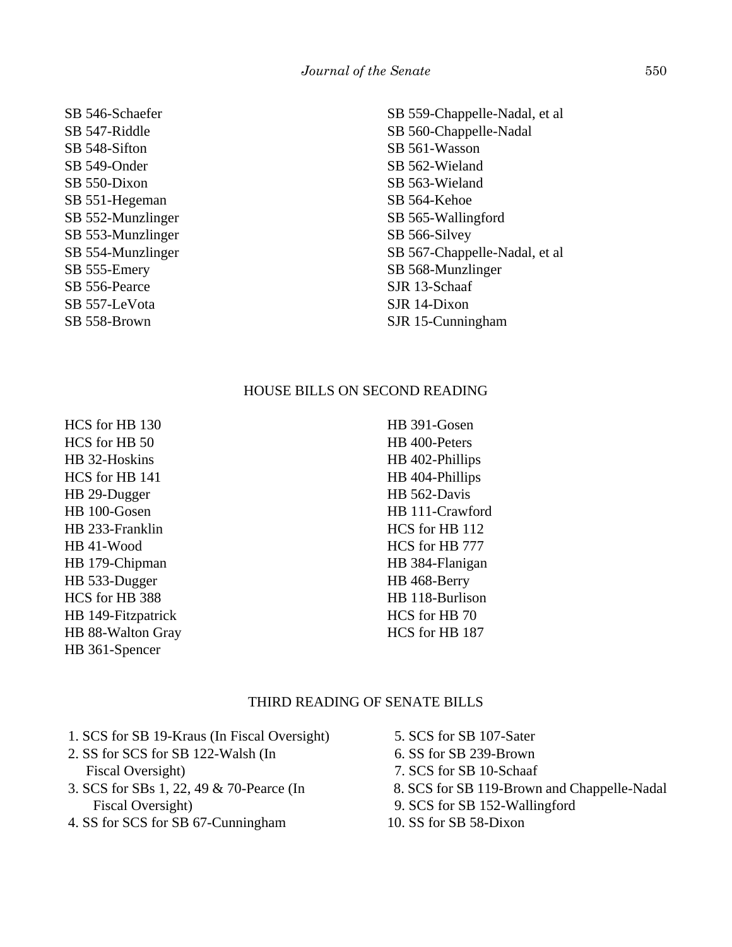SB 546-Schaefer SB 547-Riddle SB 548-Sifton SB 549-Onder SB 550-Dixon SB 551-Hegeman SB 552-Munzlinger SB 553-Munzlinger SB 554-Munzlinger SB 555-Emery SB 556-Pearce SB 557-LeVota SB 558-Brown

SB 559-Chappelle-Nadal, et al SB 560-Chappelle-Nadal SB 561-Wasson SB 562-Wieland SB 563-Wieland SB 564-Kehoe SB 565-Wallingford SB 566-Silvey SB 567-Chappelle-Nadal, et al SB 568-Munzlinger SJR 13-Schaaf SJR 14-Dixon SJR 15-Cunningham

## HOUSE BILLS ON SECOND READING

HCS for HB 130 HCS for HB 50 HB 32-Hoskins HCS for HB 141 HB 29-Dugger HB 100-Gosen HB 233-Franklin HB 41-Wood HB 179-Chipman HB 533-Dugger HCS for HB 388 HB 149-Fitzpatrick HB 88-Walton Gray HB 361-Spencer

HB 391-Gosen HB 400-Peters HB 402-Phillips HB 404-Phillips HB 562-Davis HB 111-Crawford HCS for HB 112 HCS for HB 777 HB 384-Flanigan HB 468-Berry HB 118-Burlison HCS for HB 70 HCS for HB 187

### THIRD READING OF SENATE BILLS

- 1. SCS for SB 19-Kraus (In Fiscal Oversight)
- 2. SS for SCS for SB 122-Walsh (In Fiscal Oversight)
- 3. SCS for SBs 1, 22, 49 & 70-Pearce (In Fiscal Oversight)
- 4. SS for SCS for SB 67-Cunningham
- 5. SCS for SB 107-Sater
- 6. SS for SB 239-Brown
- 7. SCS for SB 10-Schaaf
- 8. SCS for SB 119-Brown and Chappelle-Nadal
- 9. SCS for SB 152-Wallingford
- 10. SS for SB 58-Dixon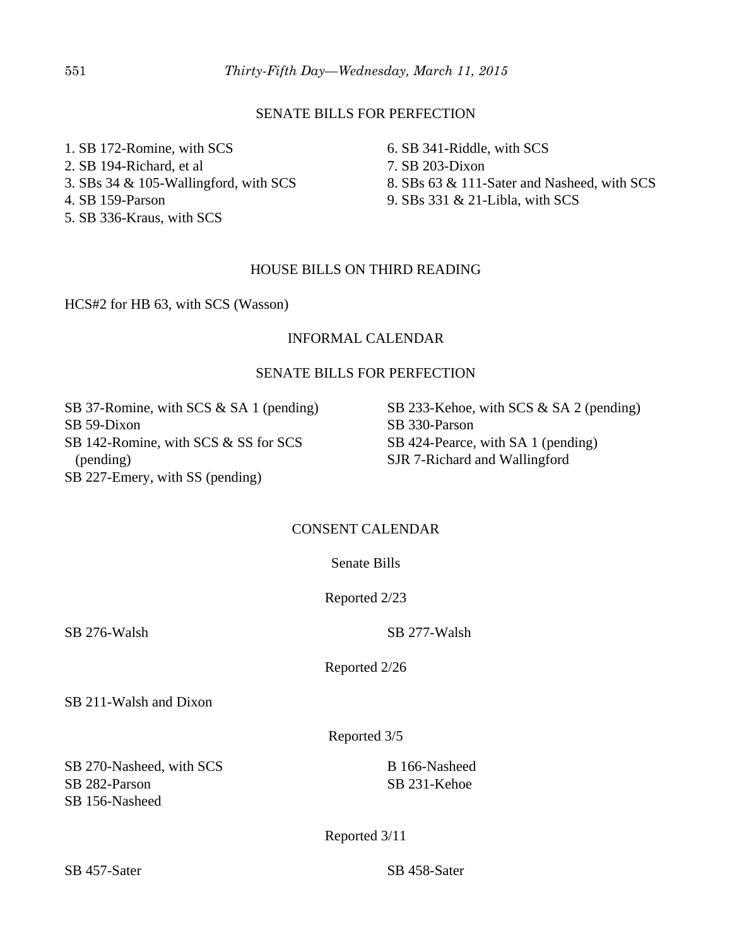## SENATE BILLS FOR PERFECTION

1. SB 172-Romine, with SCS 2. SB 194-Richard, et al 3. SBs 34 & 105-Wallingford, with SCS 4. SB 159-Parson

5. SB 336-Kraus, with SCS

6. SB 341-Riddle, with SCS

7. SB 203-Dixon

8. SBs 63 & 111-Sater and Nasheed, with SCS

9. SBs 331 & 21-Libla, with SCS

## HOUSE BILLS ON THIRD READING

HCS#2 for HB 63, with SCS (Wasson)

## INFORMAL CALENDAR

## SENATE BILLS FOR PERFECTION

SB 37-Romine, with SCS & SA 1 (pending) SB 59-Dixon SB 142-Romine, with SCS & SS for SCS (pending) SB 227-Emery, with SS (pending)

SB 233-Kehoe, with SCS & SA 2 (pending) SB 330-Parson SB 424-Pearce, with SA 1 (pending) SJR 7-Richard and Wallingford

## CONSENT CALENDAR

Senate Bills

Reported 2/23

SB 276-Walsh SB 277-Walsh

Reported 2/26

SB 211-Walsh and Dixon

Reported 3/5

SB 270-Nasheed, with SCS SB 282-Parson SB 156-Nasheed

B 166-Nasheed SB 231-Kehoe

Reported 3/11

SB 457-Sater SB 458-Sater